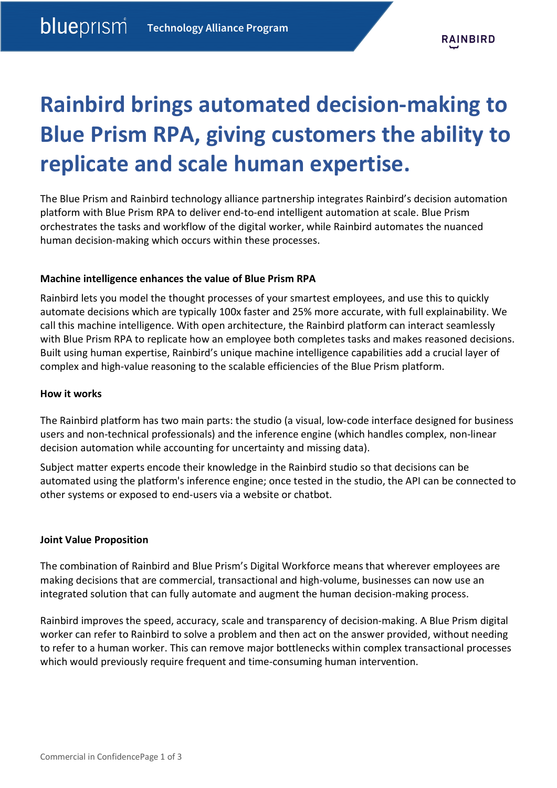# **Rainbird brings automated decision-making to Blue Prism RPA, giving customers the ability to replicate and scale human expertise.**

The Blue Prism and Rainbird technology alliance partnership integrates Rainbird's decision automation platform with Blue Prism RPA to deliver end-to-end intelligent automation at scale. Blue Prism orchestrates the tasks and workflow of the digital worker, while Rainbird automates the nuanced human decision-making which occurs within these processes.

## **Machine intelligence enhances the value of Blue Prism RPA**

Rainbird lets you model the thought processes of your smartest employees, and use this to quickly automate decisions which are typically 100x faster and 25% more accurate, with full explainability. We call this machine intelligence. With open architecture, the Rainbird platform can interact seamlessly with Blue Prism RPA to replicate how an employee both completes tasks and makes reasoned decisions. Built using human expertise, Rainbird's unique machine intelligence capabilities add a crucial layer of complex and high-value reasoning to the scalable efficiencies of the Blue Prism platform.

#### **How it works**

The Rainbird platform has two main parts: the studio (a visual, low-code interface designed for business users and non-technical professionals) and the inference engine (which handles complex, non-linear decision automation while accounting for uncertainty and missing data).

Subject matter experts encode their knowledge in the Rainbird studio so that decisions can be automated using the platform's inference engine; once tested in the studio, the API can be connected to other systems or exposed to end-users via a website or chatbot.

### **Joint Value Proposition**

The combination of Rainbird and Blue Prism's Digital Workforce means that wherever employees are making decisions that are commercial, transactional and high-volume, businesses can now use an integrated solution that can fully automate and augment the human decision-making process.

Rainbird improves the speed, accuracy, scale and transparency of decision-making. A Blue Prism digital worker can refer to Rainbird to solve a problem and then act on the answer provided, without needing to refer to a human worker. This can remove major bottlenecks within complex transactional processes which would previously require frequent and time-consuming human intervention.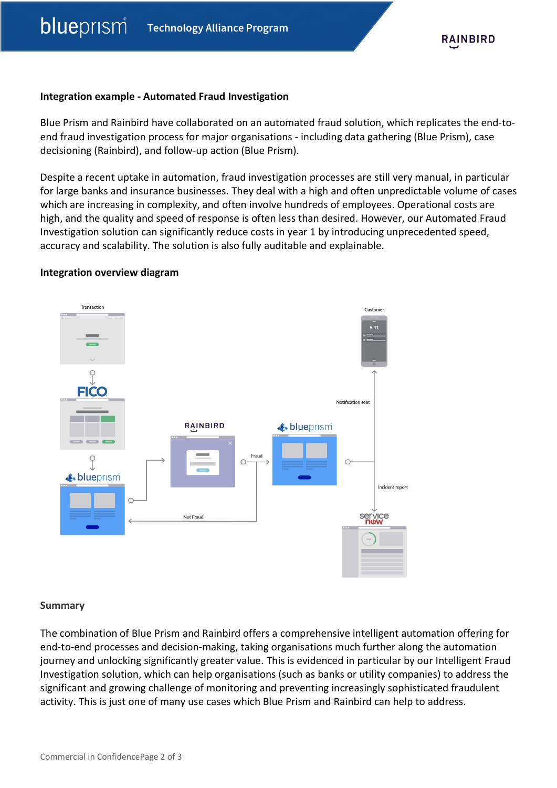#### **Integration example - Automated Fraud Investigation**

Blue Prism and Rainbird have collaborated on an automated fraud solution, which replicates the end-toend fraud investigation process for major organisations - including data gathering (Blue Prism), case decisioning (Rainbird), and follow-up action (Blue Prism).

Despite a recent uptake in automation, fraud investigation processes are still very manual, in particular for large banks and insurance businesses. They deal with a high and often unpredictable volume of cases which are increasing in complexity, and often involve hundreds of employees. Operational costs are high, and the quality and speed of response is often less than desired. However, our Automated Fraud Investigation solution can significantly reduce costs in year 1 by introducing unprecedented speed, accuracy and scalability. The solution is also fully auditable and explainable.

#### **Integration overview diagram**



### **Summary**

The combination of Blue Prism and Rainbird offers a comprehensive intelligent automation offering for end-to-end processes and decision-making, taking organisations much further along the automation journey and unlocking significantly greater value. This is evidenced in particular by our Intelligent Fraud Investigation solution, which can help organisations (such as banks or utility companies) to address the significant and growing challenge of monitoring and preventing increasingly sophisticated fraudulent activity. This is just one of many use cases which Blue Prism and Rainbird can help to address.